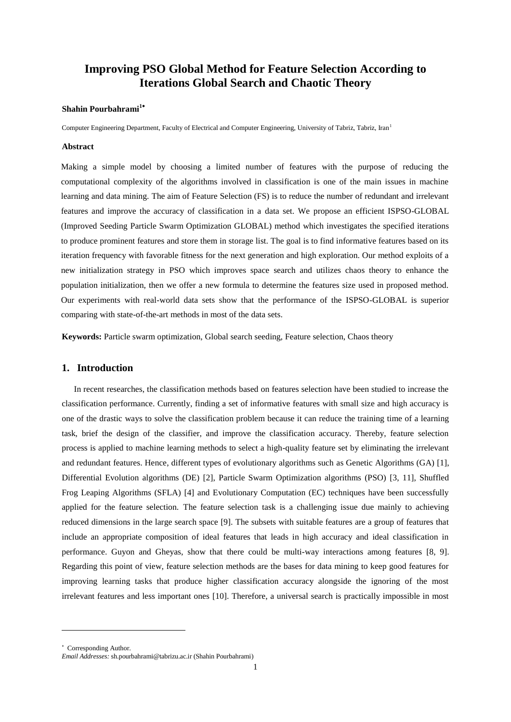# **Improving PSO Global Method for Feature Selection According to Iterations Global Search and Chaotic Theory**

# **Shahin Pourbahrami<sup>1</sup>**

Computer Engineering Department, Faculty of Electrical and Computer Engineering, University of Tabriz, Tabriz, Iran<sup>1</sup>

#### **Abstract**

Making a simple model by choosing a limited number of features with the purpose of reducing the computational complexity of the algorithms involved in classification is one of the main issues in machine learning and data mining. The aim of Feature Selection (FS) is to reduce the number of redundant and irrelevant features and improve the accuracy of classification in a data set. We propose an efficient ISPSO-GLOBAL (Improved Seeding Particle Swarm Optimization GLOBAL) method which investigates the specified iterations to produce prominent features and store them in storage list. The goal is to find informative features based on its iteration frequency with favorable fitness for the next generation and high exploration. Our method exploits of a new initialization strategy in PSO which improves space search and utilizes chaos theory to enhance the population initialization, then we offer a new formula to determine the features size used in proposed method. Our experiments with real-world data sets show that the performance of the ISPSO-GLOBAL is superior comparing with state-of-the-art methods in most of the data sets.

**Keywords:** Particle swarm optimization, Global search seeding, Feature selection, Chaos theory

### **1. Introduction**

In recent researches, the classification methods based on features selection have been studied to increase the classification performance. Currently, finding a set of informative features with small size and high accuracy is one of the drastic ways to solve the classification problem because it can reduce the training time of a learning task, brief the design of the classifier, and improve the classification accuracy. Thereby, feature selection process is applied to machine learning methods to select a high-quality feature set by eliminating the irrelevant and redundant features. Hence, different types of evolutionary algorithms such as Genetic Algorithms (GA) [1], Differential Evolution algorithms (DE) [2], Particle Swarm Optimization algorithms (PSO) [3, 11], Shuffled Frog Leaping Algorithms (SFLA) [4] and Evolutionary Computation (EC) techniques have been successfully applied for the feature selection. The feature selection task is a challenging issue due mainly to achieving reduced dimensions in the large search space [9]. The subsets with suitable features are a group of features that include an appropriate composition of ideal features that leads in high accuracy and ideal classification in performance. Guyon and Gheyas, show that there could be multi-way interactions among features [8, 9]. Regarding this point of view, feature selection methods are the bases for data mining to keep good features for improving learning tasks that produce higher classification accuracy alongside the ignoring of the most irrelevant features and less important ones [10]. Therefore, a universal search is practically impossible in most

-

Corresponding Author.

*Email Addresses:* sh.pourbahrami@tabrizu.ac.ir (Shahin Pourbahrami)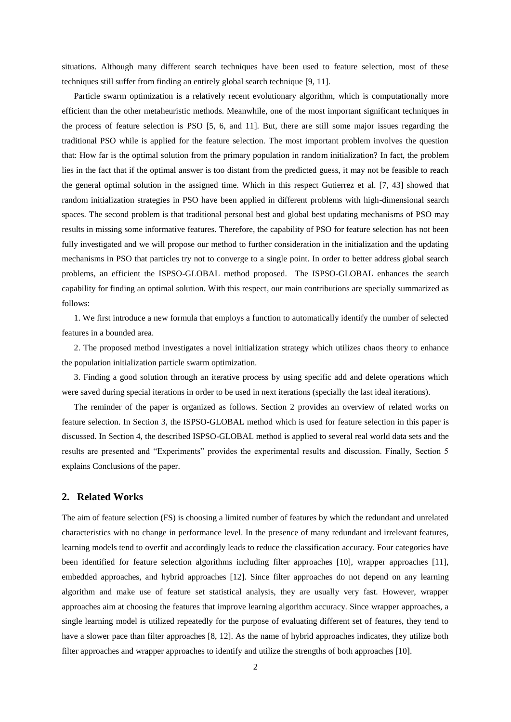situations. Although many different search techniques have been used to feature selection, most of these techniques still suffer from finding an entirely global search technique [9, 11].

Particle swarm optimization is a relatively recent evolutionary algorithm, which is computationally more efficient than the other metaheuristic methods. Meanwhile, one of the most important significant techniques in the process of feature selection is PSO [5, 6, and 11]. But, there are still some major issues regarding the traditional PSO while is applied for the feature selection. The most important problem involves the question that: How far is the optimal solution from the primary population in random initialization? In fact, the problem lies in the fact that if the optimal answer is too distant from the predicted guess, it may not be feasible to reach the general optimal solution in the assigned time. Which in this respect Gutierrez et al. [7, 43] showed that random initialization strategies in PSO have been applied in different problems with high-dimensional search spaces. The second problem is that traditional personal best and global best updating mechanisms of PSO may results in missing some informative features. Therefore, the capability of PSO for feature selection has not been fully investigated and we will propose our method to further consideration in the initialization and the updating mechanisms in PSO that particles try not to converge to a single point. In order to better address global search problems, an efficient the ISPSO-GLOBAL method proposed. The ISPSO-GLOBAL enhances the search capability for finding an optimal solution. With this respect, our main contributions are specially summarized as follows:

1. We first introduce a new formula that employs a function to automatically identify the number of selected features in a bounded area.

2. The proposed method investigates a novel initialization strategy which utilizes chaos theory to enhance the population initialization particle swarm optimization.

3. Finding a good solution through an iterative process by using specific add and delete operations which were saved during special iterations in order to be used in next iterations (specially the last ideal iterations).

The reminder of the paper is organized as follows. Section 2 provides an overview of related works on feature selection. In Section 3, the ISPSO-GLOBAL method which is used for feature selection in this paper is discussed. In Section 4, the described ISPSO-GLOBAL method is applied to several real world data sets and the results are presented and "Experiments" provides the experimental results and discussion. Finally, Section 5 explains Conclusions of the paper.

# **2. Related Works**

The aim of feature selection (FS) is choosing a limited number of features by which the redundant and unrelated characteristics with no change in performance level. In the presence of many redundant and irrelevant features, learning models tend to overfit and accordingly leads to reduce the classification accuracy. Four categories have been identified for feature selection algorithms including filter approaches [10], wrapper approaches [11], embedded approaches, and hybrid approaches [12]. Since filter approaches do not depend on any learning algorithm and make use of feature set statistical analysis, they are usually very fast. However, wrapper approaches aim at choosing the features that improve learning algorithm accuracy. Since wrapper approaches, a single learning model is utilized repeatedly for the purpose of evaluating different set of features, they tend to have a slower pace than filter approaches [8, 12]. As the name of hybrid approaches indicates, they utilize both filter approaches and wrapper approaches to identify and utilize the strengths of both approaches [10].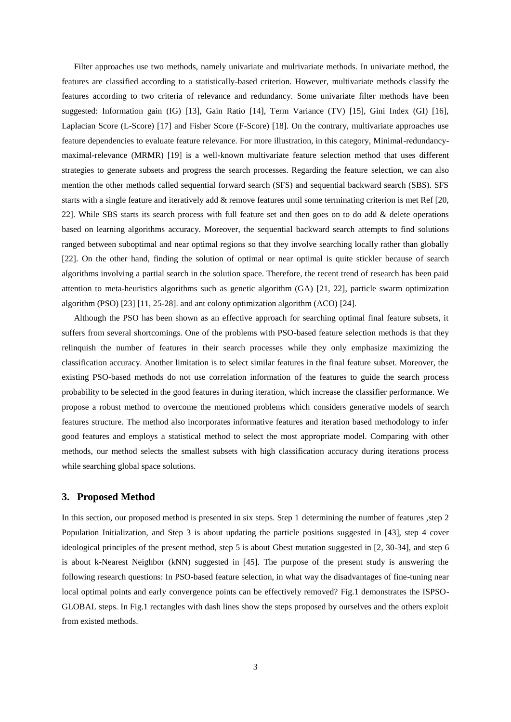Filter approaches use two methods, namely univariate and mulrivariate methods. In univariate method, the features are classified according to a statistically-based criterion. However, multivariate methods classify the features according to two criteria of relevance and redundancy. Some univariate filter methods have been suggested: Information gain (IG) [13], Gain Ratio [14], Term Variance (TV) [15], Gini Index (GI) [16], Laplacian Score (L-Score) [17] and Fisher Score (F-Score) [18]. On the contrary, multivariate approaches use feature dependencies to evaluate feature relevance. For more illustration, in this category, Minimal-redundancymaximal-relevance (MRMR) [19] is a well-known multivariate feature selection method that uses different strategies to generate subsets and progress the search processes. Regarding the feature selection, we can also mention the other methods called sequential forward search (SFS) and sequential backward search (SBS). SFS starts with a single feature and iteratively add & remove features until some terminating criterion is met Ref [20, 22]. While SBS starts its search process with full feature set and then goes on to do add & delete operations based on learning algorithms accuracy. Moreover, the sequential backward search attempts to find solutions ranged between suboptimal and near optimal regions so that they involve searching locally rather than globally [22]. On the other hand, finding the solution of optimal or near optimal is quite stickler because of search algorithms involving a partial search in the solution space. Therefore, the recent trend of research has been paid attention to meta-heuristics algorithms such as genetic algorithm (GA) [21, 22], particle swarm optimization algorithm (PSO) [23] [11, 25-28]. and ant colony optimization algorithm (ACO) [24].

Although the PSO has been shown as an effective approach for searching optimal final feature subsets, it suffers from several shortcomings. One of the problems with PSO-based feature selection methods is that they relinquish the number of features in their search processes while they only emphasize maximizing the classification accuracy. Another limitation is to select similar features in the final feature subset. Moreover, the existing PSO-based methods do not use correlation information of the features to guide the search process probability to be selected in the good features in during iteration, which increase the classifier performance. We propose a robust method to overcome the mentioned problems which considers generative models of search features structure. The method also incorporates informative features and iteration based methodology to infer good features and employs a statistical method to select the most appropriate model. Comparing with other methods, our method selects the smallest subsets with high classification accuracy during iterations process while searching global space solutions.

# **3. Proposed Method**

In this section, our proposed method is presented in six steps. Step 1 determining the number of features ,step 2 Population Initialization, and Step 3 is about updating the particle positions suggested in [43], step 4 cover ideological principles of the present method, step 5 is about Gbest mutation suggested in [2, 30-34], and step 6 is about k-Nearest Neighbor (kNN) suggested in [45]. The purpose of the present study is answering the following research questions: In PSO-based feature selection, in what way the disadvantages of fine-tuning near local optimal points and early convergence points can be effectively removed? Fig.1 demonstrates the ISPSO-GLOBAL steps. In Fig.1 rectangles with dash lines show the steps proposed by ourselves and the others exploit from existed methods.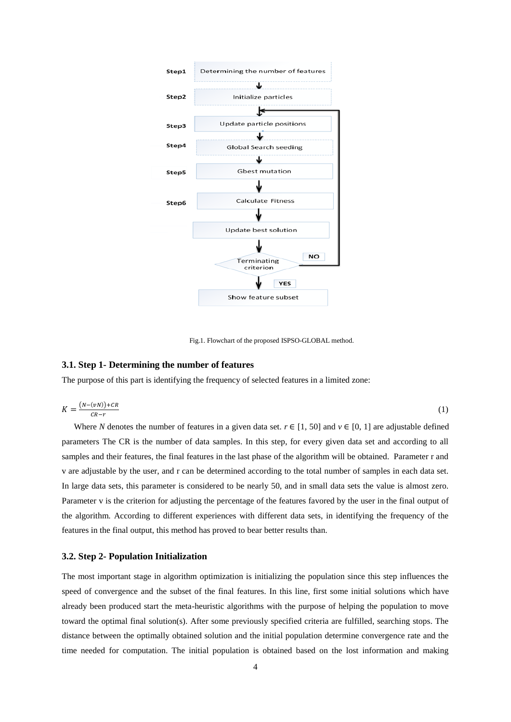

Fig.1. Flowchart of the proposed ISPSO-GLOBAL method.

### **3.1. Step 1- Determining the number of features**

The purpose of this part is identifying the frequency of selected features in a limited zone:

$$
K = \frac{(N - (\nu N)) + CR}{CR - r} \tag{1}
$$

Where *N* denotes the number of features in a given data set.  $r \in [1, 50]$  and  $v \in [0, 1]$  are adjustable defined parameters The CR is the number of data samples. In this step, for every given data set and according to all samples and their features, the final features in the last phase of the algorithm will be obtained. Parameter r and v are adjustable by the user, and r can be determined according to the total number of samples in each data set. In large data sets, this parameter is considered to be nearly 50, and in small data sets the value is almost zero. Parameter v is the criterion for adjusting the percentage of the features favored by the user in the final output of the algorithm. According to different experiences with different data sets, in identifying the frequency of the features in the final output, this method has proved to bear better results than.

### **3.2. Step 2- Population Initialization**

The most important stage in algorithm optimization is initializing the population since this step influences the speed of convergence and the subset of the final features. In this line, first some initial solutions which have already been produced start the meta-heuristic algorithms with the purpose of helping the population to move toward the optimal final solution(s). After some previously specified criteria are fulfilled, searching stops. The distance between the optimally obtained solution and the initial population determine convergence rate and the time needed for computation. The initial population is obtained based on the lost information and making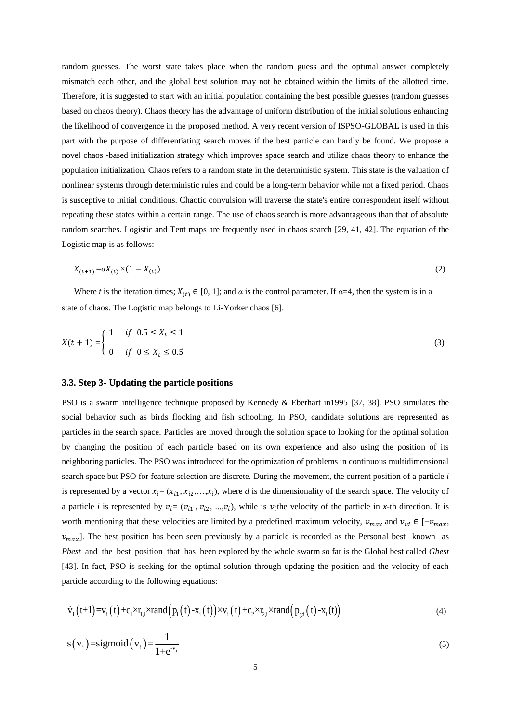random guesses. The worst state takes place when the random guess and the optimal answer completely mismatch each other, and the global best solution may not be obtained within the limits of the allotted time. Therefore, it is suggested to start with an initial population containing the best possible guesses (random guesses based on chaos theory). Chaos theory has the advantage of uniform distribution of the initial solutions enhancing the likelihood of convergence in the proposed method. A very recent version of ISPSO-GLOBAL is used in this part with the purpose of differentiating search moves if the best particle can hardly be found. We propose a novel chaos -based initialization strategy which improves space search and utilize chaos theory to enhance the population initialization. Chaos refers to a random state in the deterministic system. This state is the valuation of nonlinear systems through deterministic rules and could be a long-term behavior while not a fixed period. Chaos is susceptive to initial conditions. Chaotic convulsion will traverse the state's entire correspondent itself without repeating these states within a certain range. The use of chaos search is more advantageous than that of absolute random searches. Logistic and Tent maps are frequently used in chaos search [29, 41, 42]. The equation of the Logistic map is as follows:

$$
X_{(t+1)} = \alpha X_{(t)} \times (1 - X_{(t)})
$$
\n(2)

Where *t* is the iteration times;  $X_{(t)} \in [0, 1]$ ; and  $\alpha$  is the control parameter. If  $\alpha = 4$ , then the system is in a state of chaos. The Logistic map belongs to Li-Yorker chaos [6].

$$
X(t+1) = \begin{cases} 1 & \text{if } 0.5 \le X_t \le 1 \\ 0 & \text{if } 0 \le X_t \le 0.5 \end{cases}
$$
 (3)

# **3.3. Step 3- Updating the particle positions**

PSO is a swarm intelligence technique proposed by Kennedy & Eberhart in1995 [37, 38]. PSO simulates the social behavior such as birds flocking and fish schooling. In PSO, candidate solutions are represented as particles in the search space. Particles are moved through the solution space to looking for the optimal solution by changing the position of each particle based on its own experience and also using the position of its neighboring particles. The PSO was introduced for the optimization of problems in continuous multidimensional search space but PSO for feature selection are discrete. During the movement, the current position of a particle *i* is represented by a vector  $x_i = (x_{i1}, x_{i2},...,x_i)$ , where *d* is the dimensionality of the search space. The velocity of a particle *i* is represented by  $v_i = (v_{i1}, v_{i2}, ..., v_i)$ , while is  $v_i$ the velocity of the particle in *x*-th direction. It is worth mentioning that these velocities are limited by a predefined maximum velocity,  $v_{max}$  and  $v_{id} \in [-v_{max},$  $v_{max}$ ]. The best position has been seen previously by a particle is recorded as the Personal best known as *Pbest* and the best position that has been explored by the whole swarm so far is the Global best called *Gbest* [43]. In fact, PSO is seeking for the optimal solution through updating the position and the velocity of each particle according to the following equations:

particle according to the following equations:  
\n
$$
\hat{v}_i(t+1) = v_i(t) + c_1 \times r_{i,i} \times rand(p_i(t) - x_i(t)) \times v_i(t) + c_2 \times r_{2,i} \times rand(p_{gd}(t) - x_i(t))
$$
\n(4)

$$
s(v_i) = \text{sigmoid}(v_i) = \frac{1}{1 + e^{v_i}}\tag{5}
$$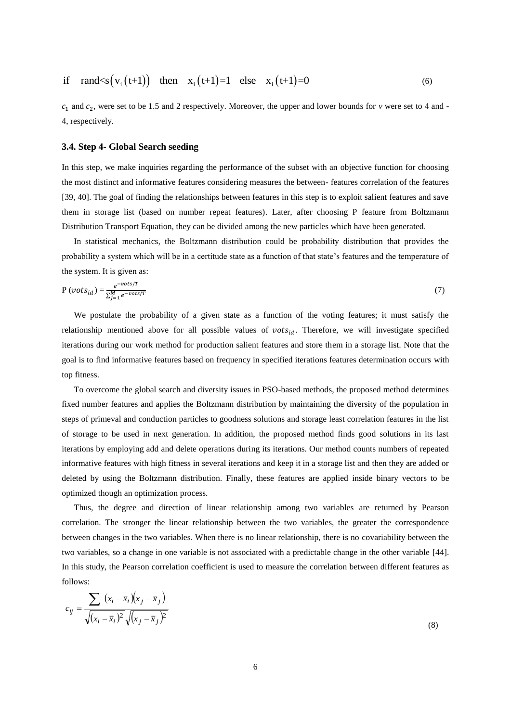if 
$$
\text{rand} < s(v_i(t+1))
$$
 then  $x_i(t+1)=1$  else  $x_i(t+1)=0$  (6)

 $c_1$  and  $c_2$ , were set to be 1.5 and 2 respectively. Moreover, the upper and lower bounds for *v* were set to 4 and -4, respectively.

# **3.4. Step 4- Global Search seeding**

In this step, we make inquiries regarding the performance of the subset with an objective function for choosing the most distinct and informative features considering measures the between- features correlation of the features [39, 40]. The goal of finding the relationships between features in this step is to exploit salient features and save them in storage list (based on number repeat features). Later, after choosing P feature from Boltzmann Distribution Transport Equation, they can be divided among the new particles which have been generated.

In statistical mechanics, the Boltzmann distribution could be probability distribution that provides the probability a system which will be in a certitude state as a function of that state's features and the temperature of the system. It is given as:

$$
P(vots_{id}) = \frac{e^{-vots/T}}{\sum_{j=1}^{M} e^{-vots/T}}
$$
(7)

We postulate the probability of a given state as a function of the voting features; it must satisfy the relationship mentioned above for all possible values of  $vots_{id}$ . Therefore, we will investigate specified iterations during our work method for production salient features and store them in a storage list. Note that the goal is to find informative features based on frequency in specified iterations features determination occurs with top fitness.

To overcome the global search and diversity issues in PSO-based methods, the proposed method determines fixed number features and applies the Boltzmann distribution by maintaining the diversity of the population in steps of primeval and conduction particles to goodness solutions and storage least correlation features in the list of storage to be used in next generation. In addition, the proposed method finds good solutions in its last iterations by employing add and delete operations during its iterations. Our method counts numbers of repeated informative features with high fitness in several iterations and keep it in a storage list and then they are added or deleted by using the Boltzmann distribution. Finally, these features are applied inside binary vectors to be optimized though an optimization process.

Thus, the degree and direction of linear relationship among two variables are returned by Pearson correlation. The stronger the linear relationship between the two variables, the greater the correspondence between changes in the two variables. When there is no linear relationship, there is no covariability between the two variables, so a change in one variable is not associated with a predictable change in the other variable [44]. In this study, the Pearson correlation coefficient is used to measure the correlation between different features as follows:

$$
c_{ij} = \frac{\sum (x_i - \overline{x}_i)(x_j - \overline{x}_j)}{\sqrt{(x_i - \overline{x}_i)^2} \sqrt{(x_j - \overline{x}_j)^2}}
$$
(8)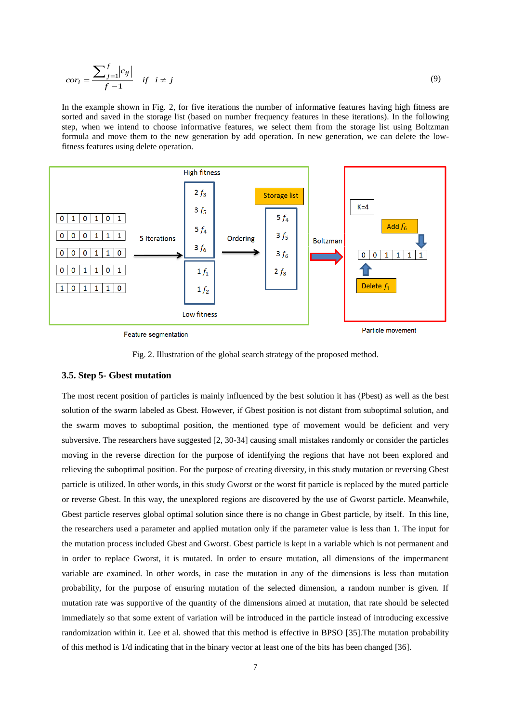$$
cor_i = \frac{\sum_{j=1}^{f} |c_{ij}|}{f-1} \quad \text{if} \quad i \neq j \tag{9}
$$

In the example shown in Fig. 2, for five iterations the number of informative features having high fitness are sorted and saved in the storage list (based on number frequency features in these iterations). In the following step, when we intend to choose informative features, we select them from the storage list using Boltzman formula and move them to the new generation by add operation. In new generation, we can delete the lowfitness features using delete operation.



Feature segmentation

Particle movement



# **3.5. Step 5- Gbest mutation**

The most recent position of particles is mainly influenced by the best solution it has (Pbest) as well as the best solution of the swarm labeled as Gbest. However, if Gbest position is not distant from suboptimal solution, and the swarm moves to suboptimal position, the mentioned type of movement would be deficient and very subversive. The researchers have suggested [2, 30-34] causing small mistakes randomly or consider the particles moving in the reverse direction for the purpose of identifying the regions that have not been explored and relieving the suboptimal position. For the purpose of creating diversity, in this study mutation or reversing Gbest particle is utilized. In other words, in this study Gworst or the worst fit particle is replaced by the muted particle or reverse Gbest. In this way, the unexplored regions are discovered by the use of Gworst particle. Meanwhile, Gbest particle reserves global optimal solution since there is no change in Gbest particle, by itself. In this line, the researchers used a parameter and applied mutation only if the parameter value is less than 1. The input for the mutation process included Gbest and Gworst. Gbest particle is kept in a variable which is not permanent and in order to replace Gworst, it is mutated. In order to ensure mutation, all dimensions of the impermanent variable are examined. In other words, in case the mutation in any of the dimensions is less than mutation probability, for the purpose of ensuring mutation of the selected dimension, a random number is given. If mutation rate was supportive of the quantity of the dimensions aimed at mutation, that rate should be selected immediately so that some extent of variation will be introduced in the particle instead of introducing excessive randomization within it. Lee et al. showed that this method is effective in BPSO [35].The mutation probability of this method is 1/d indicating that in the binary vector at least one of the bits has been changed [36].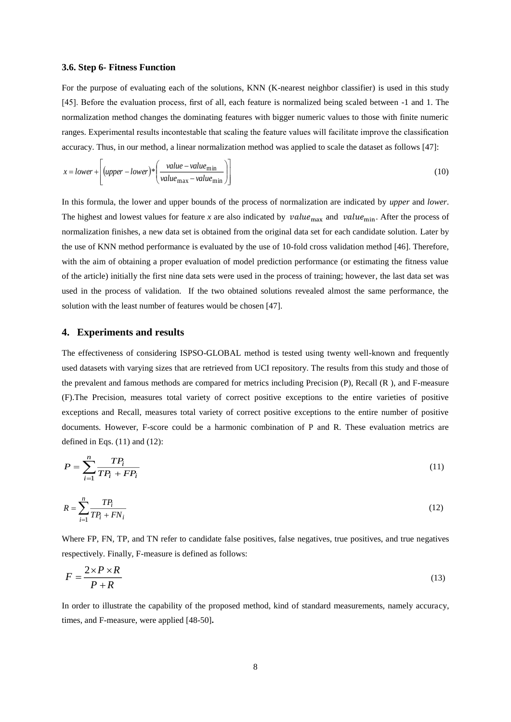#### **3.6. Step 6- Fitness Function**

For the purpose of evaluating each of the solutions, KNN (K-nearest neighbor classifier) is used in this study [45]. Before the evaluation process, first of all, each feature is normalized being scaled between -1 and 1. The normalization method changes the dominating features with bigger numeric values to those with finite numeric ranges. Experimental results incontestable that scaling the feature values will facilitate improve the classification accuracy. Thus, in our method, a linear normalization method was applied to scale the dataset as follows [47]:

$$
x = lower + \left[ (upper - lower)^{*} \left( \frac{value - value_{\min}}{value_{\max} - value_{\min}} \right) \right]
$$
 (10)

In this formula, the lower and upper bounds of the process of normalization are indicated by *upper* and *lower*. The highest and lowest values for feature *x* are also indicated by  $value_{\text{max}}$  and  $value_{\text{min}}$ . After the process of normalization finishes, a new data set is obtained from the original data set for each candidate solution. Later by the use of KNN method performance is evaluated by the use of 10-fold cross validation method [46]. Therefore, with the aim of obtaining a proper evaluation of model prediction performance (or estimating the fitness value of the article) initially the first nine data sets were used in the process of training; however, the last data set was used in the process of validation. If the two obtained solutions revealed almost the same performance, the solution with the least number of features would be chosen [47].

# **4. Experiments and results**

The effectiveness of considering ISPSO-GLOBAL method is tested using twenty well-known and frequently used datasets with varying sizes that are retrieved from UCI repository. The results from this study and those of the prevalent and famous methods are compared for metrics including Precision (P), Recall (R ), and F-measure (F).The Precision, measures total variety of correct positive exceptions to the entire varieties of positive exceptions and Recall, measures total variety of correct positive exceptions to the entire number of positive documents. However, F-score could be a harmonic combination of P and R. These evaluation metrics are defined in Eqs. (11) and (12):

$$
P = \sum_{i=1}^{n} \frac{TP_i}{TP_i + FP_i}
$$
\n<sup>(11)</sup>

$$
R = \sum_{i=1}^{n} \frac{TP_i}{TP_i + FN_i} \tag{12}
$$

Where FP, FN, TP, and TN refer to candidate false positives, false negatives, true positives, and true negatives respectively. Finally, F-measure is defined as follows:

$$
F = \frac{2 \times P \times R}{P + R} \tag{13}
$$

In order to illustrate the capability of the proposed method, kind of standard measurements, namely accuracy, times, and F-measure, were applied [48-50]**.**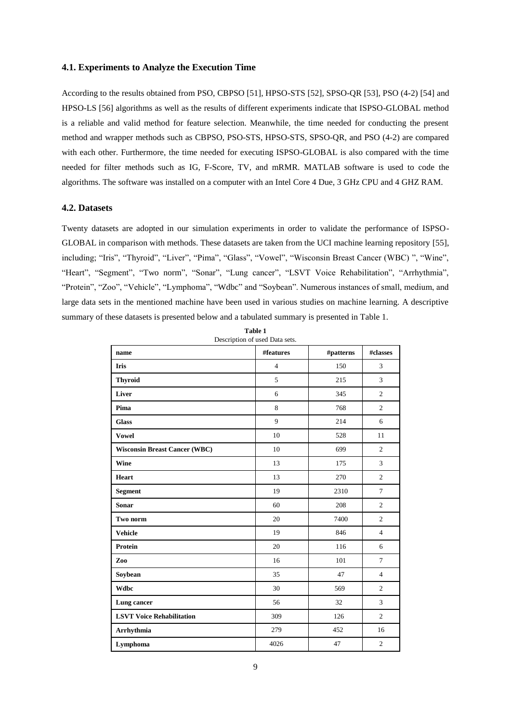# **4.1. Experiments to Analyze the Execution Time**

According to the results obtained from PSO, CBPSO [51], HPSO-STS [52], SPSO-QR [53], PSO (4-2) [54] and HPSO-LS [56] algorithms as well as the results of different experiments indicate that ISPSO-GLOBAL method is a reliable and valid method for feature selection. Meanwhile, the time needed for conducting the present method and wrapper methods such as CBPSO, PSO-STS, HPSO-STS, SPSO-QR, and PSO (4-2) are compared with each other. Furthermore, the time needed for executing ISPSO-GLOBAL is also compared with the time needed for filter methods such as IG, F-Score, TV, and mRMR. MATLAB software is used to code the algorithms. The software was installed on a computer with an Intel Core 4 Due, 3 GHz CPU and 4 GHZ RAM.

# **4.2. Datasets**

Twenty datasets are adopted in our simulation experiments in order to validate the performance of ISPSO-GLOBAL in comparison with methods. These datasets are taken from the UCI machine learning repository [55], including; "Iris", "Thyroid", "Liver", "Pima", "Glass", "Vowel", "Wisconsin Breast Cancer (WBC) ", "Wine", "Heart", "Segment", "Two norm", "Sonar", "Lung cancer", "LSVT Voice Rehabilitation", "Arrhythmia", "Protein", "Zoo", "Vehicle", "Lymphoma", "Wdbc" and "Soybean". Numerous instances of small, medium, and large data sets in the mentioned machine have been used in various studies on machine learning. A descriptive summary of these datasets is presented below and a tabulated summary is presented in Table 1.

| Description of used Data sets.       |                        |           |                |  |  |  |  |
|--------------------------------------|------------------------|-----------|----------------|--|--|--|--|
| name                                 | $\# \mathbf{features}$ | #patterns | #classes       |  |  |  |  |
| <b>Iris</b>                          | $\overline{4}$         | 150       | 3              |  |  |  |  |
| <b>Thyroid</b>                       | 5                      | 215       | $\overline{3}$ |  |  |  |  |
| Liver                                | 6                      | 345       | $\overline{2}$ |  |  |  |  |
| Pima                                 | 8                      | 768       | $\overline{c}$ |  |  |  |  |
| <b>Glass</b>                         | 9                      | 214       | 6              |  |  |  |  |
| <b>Vowel</b>                         | 10                     | 528       | 11             |  |  |  |  |
| <b>Wisconsin Breast Cancer (WBC)</b> | 10                     | 699       | $\overline{c}$ |  |  |  |  |
| Wine                                 | 13                     | 175       | $\overline{3}$ |  |  |  |  |
| <b>Heart</b>                         | 13                     | 270       | $\overline{2}$ |  |  |  |  |
| <b>Segment</b>                       | 19                     | 2310      | $\tau$         |  |  |  |  |
| <b>Sonar</b>                         | 60                     | 208       | $\overline{c}$ |  |  |  |  |
| Two norm                             | 20                     | 7400      | $\overline{2}$ |  |  |  |  |
| <b>Vehicle</b>                       | 19                     | 846       | $\overline{4}$ |  |  |  |  |
| Protein                              | 20                     | 116       | 6              |  |  |  |  |
| Zoo                                  | 16                     | 101       | $\tau$         |  |  |  |  |
| Soybean                              | 35                     | 47        | $\overline{4}$ |  |  |  |  |
| <b>Wdbc</b>                          | 30                     | 569       | $\overline{2}$ |  |  |  |  |
| Lung cancer                          | 56                     | 32        | $\overline{3}$ |  |  |  |  |
| <b>LSVT Voice Rehabilitation</b>     | 309                    | 126       | $\overline{c}$ |  |  |  |  |
| Arrhythmia                           | 279                    | 452       | 16             |  |  |  |  |
| Lymphoma                             | 4026                   | 47        | $\overline{c}$ |  |  |  |  |

**Table 1**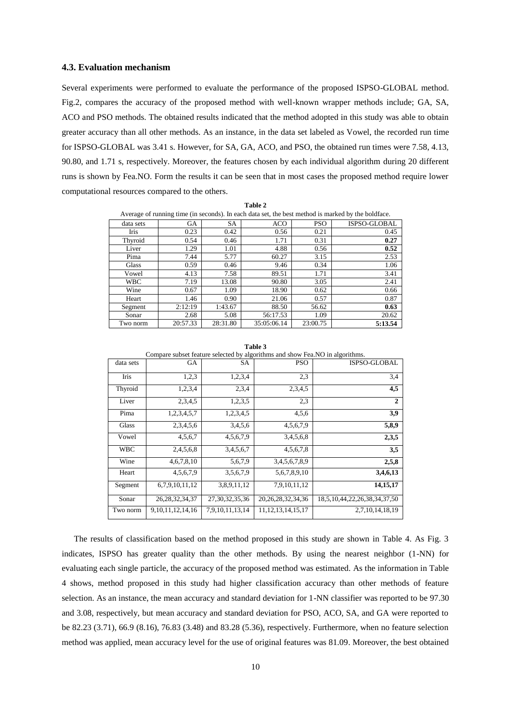# **4.3. Evaluation mechanism**

Several experiments were performed to evaluate the performance of the proposed ISPSO-GLOBAL method. Fig.2, compares the accuracy of the proposed method with well-known wrapper methods include; GA, SA, ACO and PSO methods. The obtained results indicated that the method adopted in this study was able to obtain greater accuracy than all other methods. As an instance, in the data set labeled as Vowel, the recorded run time for ISPSO-GLOBAL was 3.41 s. However, for SA, GA, ACO, and PSO, the obtained run times were 7.58, 4.13, 90.80, and 1.71 s, respectively. Moreover, the features chosen by each individual algorithm during 20 different runs is shown by Fea.NO. Form the results it can be seen that in most cases the proposed method require lower computational resources compared to the others.

|--|--|

| Average of running time (in seconds). In each data set, the best method is marked by the boldface. |  |  |
|----------------------------------------------------------------------------------------------------|--|--|
|                                                                                                    |  |  |

| . <u>.</u> . |          |           |             |            |                     |  |  |  |
|--------------|----------|-----------|-------------|------------|---------------------|--|--|--|
| data sets    | GA       | <b>SA</b> | <b>ACO</b>  | <b>PSO</b> | <b>ISPSO-GLOBAL</b> |  |  |  |
| <b>Iris</b>  | 0.23     | 0.42      | 0.56        | 0.21       | 0.45                |  |  |  |
| Thyroid      | 0.54     | 0.46      | 1.71        | 0.31       | 0.27                |  |  |  |
| Liver        | 1.29     | 1.01      | 4.88        | 0.56       | 0.52                |  |  |  |
| Pima         | 7.44     | 5.77      | 60.27       | 3.15       | 2.53                |  |  |  |
| Glass        | 0.59     | 0.46      | 9.46        | 0.34       | 1.06                |  |  |  |
| Vowel        | 4.13     | 7.58      | 89.51       | 1.71       | 3.41                |  |  |  |
| <b>WBC</b>   | 7.19     | 13.08     | 90.80       | 3.05       | 2.41                |  |  |  |
| Wine         | 0.67     | 1.09      | 18.90       | 0.62       | 0.66                |  |  |  |
| Heart        | 1.46     | 0.90      | 21.06       | 0.57       | 0.87                |  |  |  |
| Segment      | 2:12:19  | 1:43.67   | 88.50       | 56.62      | 0.63                |  |  |  |
| Sonar        | 2.68     | 5.08      | 56:17.53    | 1.09       | 20.62               |  |  |  |
| Two norm     | 20:57.33 | 28:31.80  | 35:05:06.14 | 23:00.75   | 5:13.54             |  |  |  |

**Table 3**

Compare subset feature selected by algorithms and show Fea.NO in algorithms.

| data sets  | <b>GA</b>             | <b>SA</b>          | <b>PSO</b>             | <b>ISPSO-GLOBAL</b>          |
|------------|-----------------------|--------------------|------------------------|------------------------------|
| Iris       | 1,2,3                 | 1,2,3,4            | 2.3                    | 3,4                          |
| Thyroid    | 1,2,3,4               | 2,3,4              | 2,3,4,5                | 4,5                          |
| Liver      | 2,3,4,5               | 1,2,3,5            | 2.3                    | $\overline{2}$               |
| Pima       | 1,2,3,4,5,7           | 1,2,3,4,5          | 4.5.6                  | 3,9                          |
| Glass      | 2,3,4,5,6             | 3,4,5,6            | 4, 5, 6, 7, 9          | 5,8,9                        |
| Vowel      | 4,5,6,7               | 4,5,6,7,9          | 3,4,5,6,8              | 2,3,5                        |
| <b>WBC</b> | 2,4,5,6,8             | 3,4,5,6,7          | 4,5,6,7,8              | 3,5                          |
| Wine       | 4,6,7,8,10            | 5,6,7,9            | 3,4,5,6,7,8,9          | 2,5,8                        |
| Heart      | 4,5,6,7,9             | 3,5,6,7,9          | 5,6,7,8,9,10           | 3,4,6,13                     |
| Segment    | 6,7,9,10,11,12        | 3,8,9,11,12        | 7,9,10,11,12           | 14, 15, 17                   |
| Sonar      | 26, 28, 32, 34, 37    | 27, 30, 32, 35, 36 | 20, 26, 28, 32, 34, 36 | 18,5,10,44,22,26,38,34,37,50 |
| Two norm   | 9, 10, 11, 12, 14, 16 | 7,9,10,11,13,14    | 11, 12, 13, 14, 15, 17 | 2,7,10,14,18,19              |

The results of classification based on the method proposed in this study are shown in Table 4. As Fig. 3 indicates, ISPSO has greater quality than the other methods. By using the nearest neighbor (1-NN) for evaluating each single particle, the accuracy of the proposed method was estimated. As the information in Table 4 shows, method proposed in this study had higher classification accuracy than other methods of feature selection. As an instance, the mean accuracy and standard deviation for 1-NN classifier was reported to be 97.30 and 3.08, respectively, but mean accuracy and standard deviation for PSO, ACO, SA, and GA were reported to be 82.23 (3.71), 66.9 (8.16), 76.83 (3.48) and 83.28 (5.36), respectively. Furthermore, when no feature selection method was applied, mean accuracy level for the use of original features was 81.09. Moreover, the best obtained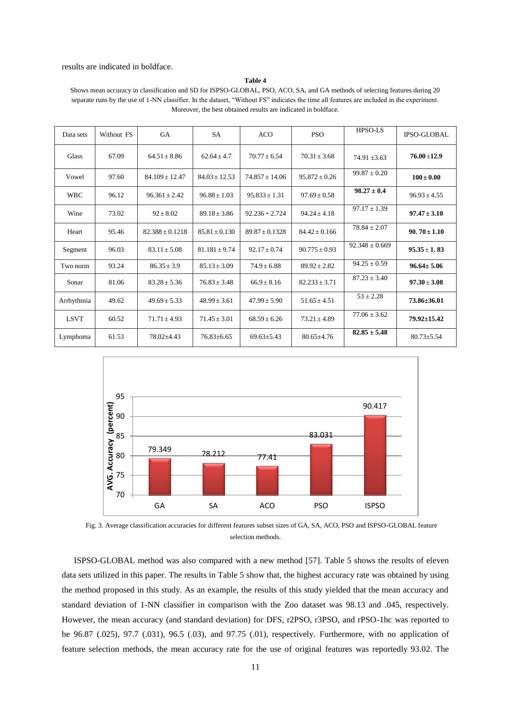#### results are indicated in boldface.

#### **Table 4**

Shows mean accuracy in classification and SD for ISPSO-GLOBAL, PSO, ACO, SA, and GA methods of selecting features during 20 separate runs by the use of 1-NN classifier. In the dataset, "Without FS" indicates the time all features are included in the experiment. Moreover, the best obtained results are indicated in boldface.

| Data sets   | Without FS | GA                | <b>SA</b>        | <b>ACO</b>        | <b>PSO</b>       | HPSO-LS            | <b>IPSO-GLOBAL</b> |
|-------------|------------|-------------------|------------------|-------------------|------------------|--------------------|--------------------|
| Glass       | 67.09      | $64.51 + 8.86$    | $62.64 \pm 4.7$  | $70.77 + 6.54$    | $70.31 + 3.68$   | $74.91 + 3.63$     | $76.00 + 12.9$     |
| Vowel       | 97.60      | $84.109 + 12.47$  | $84.03 + 12.53$  | $74.857 + 14.06$  | $95.872 + 0.26$  | $99.87 \pm 0.20$   | $100 \pm 0.00$     |
| <b>WBC</b>  | 96.12      | $96.361 \pm 2.42$ | $96.88 \pm 1.03$ | $95.833 \pm 1.31$ | $97.69 + 0.58$   | $98.27 \pm 0.4$    | $96.93 \pm 4.55$   |
| Wine        | 73.02      | $92 + 8.02$       | $89.18 + 3.86$   | $92.236 + 2.724$  | $94.24 + 4.18$   | $97.17 \pm 1.39$   | $97.47 \pm 3.10$   |
| Heart       | 95.46      | $82.388 + 0.1218$ | $85.81 + 0.130$  | $89.87 + 0.1328$  | $84.42 + 0.166$  | $78.84 \pm 2.07$   | $90.70 \pm 1.10$   |
| Segment     | 96.03      | $83.11 + 5.08$    | $81.181 + 9.74$  | $92.17 \pm 0.74$  | $90.775 + 0.93$  | $92.348 \pm 0.669$ | $95.35 \pm 1.83$   |
| Two norm    | 93.24      | $86.35 \pm 3.9$   | $85.13 \pm 3.09$ | $74.9 + 6.88$     | $89.92 + 2.82$   | $94.25 + 0.59$     | $96.64 \pm 5.06$   |
| Sonar       | 81.06      | $83.28 + 5.36$    | $76.83 + 3.48$   | $66.9 + 8.16$     | $82.233 + 3.71$  | $87.23 \pm 3.40$   | $97.30 + 3.08$     |
| Arrhythmia  | 49.62      | $49.69 + 5.33$    | $48.99 + 3.61$   | $47.99 + 5.90$    | $51.65 + 4.51$   | $53 \pm 2.28$      | $73.86 \pm 36.01$  |
| <b>LSVT</b> | 60.52      | $71.71 \pm 4.93$  | $71.45 \pm 3.01$ | $68.59 \pm 6.26$  | $73.21 \pm 4.89$ | $77.06 + 3.62$     | 79.92±15.42        |
| Lymphoma    | 61.53      | 78.02±4.43        | $76.83 \pm 6.65$ | $69.63 \pm 5.43$  | $80.65 \pm 4.76$ | $82.85 \pm 5.48$   | $80.73 \pm 5.54$   |



Fig. 3. Average classification accuracies for different features subset sizes of GA, SA, ACO, PSO and ISPSO-GLOBAL feature selection methods.

ISPSO-GLOBAL method was also compared with a new method [57]. Table 5 shows the results of eleven data sets utilized in this paper. The results in Table 5 show that, the highest accuracy rate was obtained by using the method proposed in this study. As an example, the results of this study yielded that the mean accuracy and standard deviation of 1-NN classifier in comparison with the Zoo dataset was 98.13 and .045, respectively. However, the mean accuracy (and standard deviation) for DFS, r2PSO, r3PSO, and rPSO-1hc was reported to be 96.87 (.025), 97.7 (.031), 96.5 (.03), and 97.75 (.01), respectively. Furthermore, with no application of feature selection methods, the mean accuracy rate for the use of original features was reportedly 93.02. The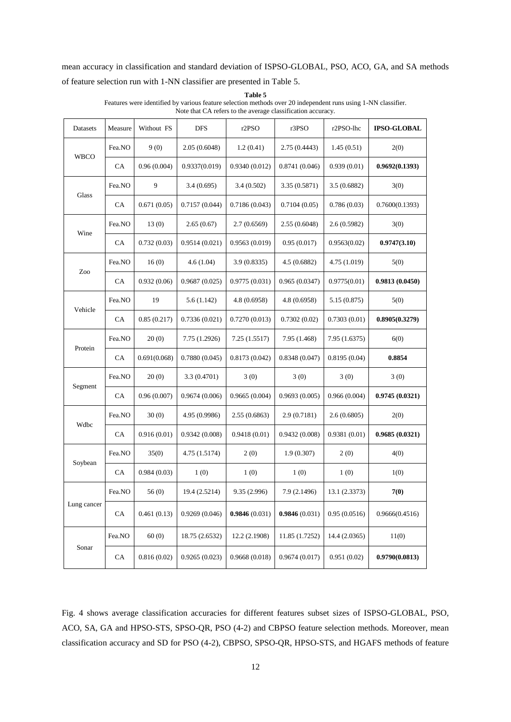mean accuracy in classification and standard deviation of ISPSO-GLOBAL, PSO, ACO, GA, and SA methods of feature selection run with 1-NN classifier are presented in Table 5.

| Datasets    | Measure | Without FS   | <b>DFS</b>     | r2PSO         | r3PSO          | r2PSO-lhc     | <b>IPSO-GLOBAL</b> |
|-------------|---------|--------------|----------------|---------------|----------------|---------------|--------------------|
| <b>WBCO</b> | Fea.NO  | 9(0)         | 2.05(0.6048)   | 1.2(0.41)     | 2.75 (0.4443)  | 1.45(0.51)    | 2(0)               |
|             | CA      | 0.96(0.004)  | 0.9337(0.019)  | 0.9340(0.012) | 0.8741(0.046)  | 0.939(0.01)   | 0.9692(0.1393)     |
| Glass       | Fea.NO  | 9            | 3.4(0.695)     | 3.4 (0.502)   | 3.35 (0.5871)  | 3.5(0.6882)   | 3(0)               |
|             | CA      | 0.671(0.05)  | 0.7157(0.044)  | 0.7186(0.043) | 0.7104(0.05)   | 0.786(0.03)   | 0.7600(0.1393)     |
|             | Fea.NO  | 13(0)        | 2.65(0.67)     | 2.7(0.6569)   | 2.55 (0.6048)  | 2.6(0.5982)   | 3(0)               |
| Wine        | CA      | 0.732(0.03)  | 0.9514(0.021)  | 0.9563(0.019) | 0.95(0.017)    | 0.9563(0.02)  | 0.9747(3.10)       |
| Zoo         | Fea.NO  | 16(0)        | 4.6(1.04)      | 3.9(0.8335)   | 4.5(0.6882)    | 4.75 (1.019)  | 5(0)               |
|             | CA      | 0.932(0.06)  | 0.9687(0.025)  | 0.9775(0.031) | 0.965(0.0347)  | 0.9775(0.01)  | 0.9813(0.0450)     |
| Vehicle     | Fea.NO  | 19           | 5.6(1.142)     | 4.8(0.6958)   | 4.8 (0.6958)   | 5.15(0.875)   | 5(0)               |
|             | CA      | 0.85(0.217)  | 0.7336(0.021)  | 0.7270(0.013) | 0.7302(0.02)   | 0.7303(0.01)  | 0.8905(0.3279)     |
|             | Fea.NO  | 20(0)        | 7.75 (1.2926)  | 7.25(1.5517)  | 7.95 (1.468)   | 7.95 (1.6375) | 6(0)               |
| Protein     | CA      | 0.691(0.068) | 0.7880(0.045)  | 0.8173(0.042) | 0.8348(0.047)  | 0.8195(0.04)  | 0.8854             |
|             | Fea.NO  | 20(0)        | 3.3(0.4701)    | 3(0)          | 3(0)           | 3(0)          | 3(0)               |
| Segment     | CA      | 0.96(0.007)  | 0.9674(0.006)  | 0.9665(0.004) | 0.9693(0.005)  | 0.966(0.004)  | 0.9745(0.0321)     |
| Wdbc        | Fea.NO  | 30(0)        | 4.95 (0.9986)  | 2.55(0.6863)  | 2.9(0.7181)    | 2.6(0.6805)   | 2(0)               |
|             | CA      | 0.916(0.01)  | 0.9342(0.008)  | 0.9418(0.01)  | 0.9432(0.008)  | 0.9381(0.01)  | 0.9685(0.0321)     |
| Soybean     | Fea.NO  | 35(0)        | 4.75 (1.5174)  | 2(0)          | 1.9(0.307)     | 2(0)          | 4(0)               |
|             | CA.     | 0.984(0.03)  | 1(0)           | 1(0)          | 1(0)           | 1(0)          | 1(0)               |
|             | Fea.NO  | 56(0)        | 19.4 (2.5214)  | 9.35(2.996)   | 7.9 (2.1496)   | 13.1 (2.3373) | 7(0)               |
| Lung cancer | CA      | 0.461(0.13)  | 0.9269(0.046)  | 0.9846(0.031) | 0.9846(0.031)  | 0.95(0.0516)  | 0.9666(0.4516)     |
|             | Fea.NO  | 60(0)        | 18.75 (2.6532) | 12.2 (2.1908) | 11.85 (1.7252) | 14.4 (2.0365) | 11(0)              |
| Sonar       | CA      | 0.816(0.02)  | 0.9265(0.023)  | 0.9668(0.018) | 0.9674(0.017)  | 0.951(0.02)   | 0.9790(0.0813)     |

**Table 5** Features were identified by various feature selection methods over 20 independent runs using 1-NN classifier. Note that CA refers to the average classification accuracy.

Fig. 4 shows average classification accuracies for different features subset sizes of ISPSO-GLOBAL, PSO, ACO, SA, GA and HPSO-STS, SPSO-QR, PSO (4-2) and CBPSO feature selection methods. Moreover, mean classification accuracy and SD for PSO (4-2), CBPSO, SPSO-QR, HPSO-STS, and HGAFS methods of feature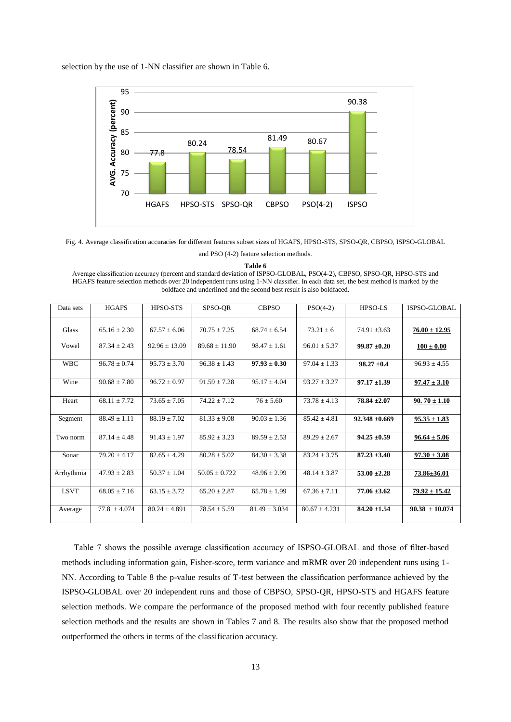selection by the use of 1-NN classifier are shown in Table 6.



Fig. 4. Average classification accuracies for different features subset sizes of HGAFS, HPSO-STS, SPSO-QR, CBPSO, ISPSO-GLOBAL

and PSO (4-2) feature selection methods.

**Table 6**

Average classification accuracy (percent and standard deviation of ISPSO-GLOBAL, PSO(4-2), CBPSO, SPSO-QR, HPSO-STS and HGAFS feature selection methods over 20 independent runs using 1-NN classifier. In each data set, the best method is marked by the boldface and underlined and the second best result is also boldfaced.

| Data sets   | <b>HGAFS</b>     | HPSO-STS          | SPSO-QR           | <b>CBPSO</b>                | $PSO(4-2)$       | <b>HPSO-LS</b>     | ISPSO-GLOBAL       |
|-------------|------------------|-------------------|-------------------|-----------------------------|------------------|--------------------|--------------------|
| Glass       | $65.16 \pm 2.30$ | $67.57 \pm 6.06$  | $70.75 \pm 7.25$  | $68.74 \pm 6.54$            | $73.21 \pm 6$    | $74.91 \pm 3.63$   | $76.00 \pm 12.95$  |
| Vowel       | $87.34 + 2.43$   | $92.96 \pm 13.09$ | $89.68 \pm 11.90$ | $98.47 \pm 1.61$            | $96.01 + 5.37$   | $99.87 \pm 0.20$   | $100 \pm 0.00$     |
| <b>WBC</b>  | $96.78 \pm 0.74$ | $95.73 \pm 3.70$  | $96.38 \pm 1.43$  | $\overline{97.93} \pm 0.30$ | $97.04 \pm 1.33$ | $98.27 \pm 0.4$    | $96.93 \pm 4.55$   |
| Wine        | $90.68 \pm 7.80$ | $96.72 \pm 0.97$  | $91.59 \pm 7.28$  | $95.17 \pm 4.04$            | $93.27 + 3.27$   | $97.17 \pm 1.39$   | $97.47 \pm 3.10$   |
| Heart       | $68.11 \pm 7.72$ | $73.65 \pm 7.05$  | $74.22 + 7.12$    | $76 \pm 5.60$               | $73.78 \pm 4.13$ | $78.84 \pm 2.07$   | $90.70 \pm 1.10$   |
| Segment     | $88.49 \pm 1.11$ | $88.19 \pm 7.02$  | $81.33 \pm 9.08$  | $90.03 \pm 1.36$            | $85.42 \pm 4.81$ | $92.348 \pm 0.669$ | $95.35 \pm 1.83$   |
| Two norm    | $87.14 + 4.48$   | $91.43 \pm 1.97$  | $85.92 \pm 3.23$  | $89.59 \pm 2.53$            | $89.29 + 2.67$   | $94.25 \pm 0.59$   | $96.64 \pm 5.06$   |
| Sonar       | $79.20 + 4.17$   | $82.65 + 4.29$    | $80.28 \pm 5.02$  | $84.30 \pm 3.38$            | $83.24 + 3.75$   | $87.23 \pm 3.40$   | $97.30 \pm 3.08$   |
| Arrhythmia  | $47.93 + 2.83$   | $50.37 + 1.04$    | $50.05 + 0.722$   | $48.96 + 2.99$              | $48.14 + 3.87$   | $53.00 \pm 2.28$   | 73.86±36.01        |
| <b>LSVT</b> | $68.05 \pm 7.16$ | $63.15 + 3.72$    | $65.20 + 2.87$    | $65.78 \pm 1.99$            | $67.36 + 7.11$   | $77.06 \pm 3.62$   | $79.92 \pm 15.42$  |
| Average     | $77.8 + 4.074$   | $80.24 + 4.891$   | $78.54 + 5.59$    | $81.49 + 3.034$             | $80.67 + 4.231$  | $84.20 \pm 1.54$   | $90.38 \pm 10.074$ |

Table 7 shows the possible average classification accuracy of ISPSO-GLOBAL and those of filter-based methods including information gain, Fisher-score, term variance and mRMR over 20 independent runs using 1- NN. According to Table 8 the p-value results of T-test between the classification performance achieved by the ISPSO-GLOBAL over 20 independent runs and those of CBPSO, SPSO-QR, HPSO-STS and HGAFS feature selection methods. We compare the performance of the proposed method with four recently published feature selection methods and the results are shown in Tables 7 and 8. The results also show that the proposed method outperformed the others in terms of the classification accuracy.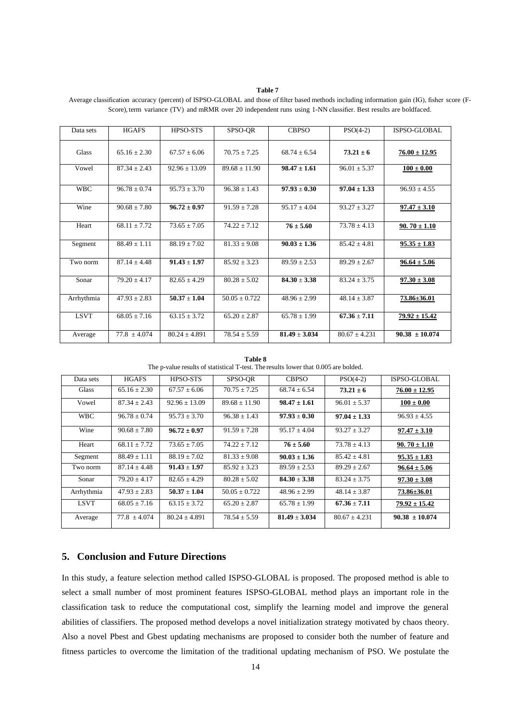### **Table 7**

| Data sets    | <b>HGAFS</b>     | HPSO-STS          | SPSO-OR           | <b>CBPSO</b>      | $PSO(4-2)$        | ISPSO-GLOBAL       |
|--------------|------------------|-------------------|-------------------|-------------------|-------------------|--------------------|
| <b>Glass</b> | $65.16 + 2.30$   | $67.57 + 6.06$    | $70.75 \pm 7.25$  | $68.74 \pm 6.54$  | $73.21 \pm 6$     | $76.00 \pm 12.95$  |
| Vowel        | $87.34 \pm 2.43$ | $92.96 \pm 13.09$ | $89.68 \pm 11.90$ | $98.47 \pm 1.61$  | $96.01 \pm 5.37$  | $100 \pm 0.00$     |
| <b>WBC</b>   | $96.78 \pm 0.74$ | $95.73 \pm 3.70$  | $96.38 \pm 1.43$  | $97.93 \pm 0.30$  | $97.04 \pm 1.33$  | $96.93 + 4.55$     |
| Wine         | $90.68 + 7.80$   | $96.72 \pm 0.97$  | $91.59 + 7.28$    | $95.17 \pm 4.04$  | $93.27 \pm 3.27$  | $97.47 \pm 3.10$   |
| Heart        | $68.11 \pm 7.72$ | $73.65 \pm 7.05$  | $74.22 \pm 7.12$  | $76 \pm 5.60$     | $73.78 \pm 4.13$  | $90.70 \pm 1.10$   |
| Segment      | $88.49 \pm 1.11$ | $88.19 \pm 7.02$  | $81.33 \pm 9.08$  | $90.03 \pm 1.36$  | $85.42 \pm 4.81$  | $95.35 \pm 1.83$   |
| Two norm     | $87.14 + 4.48$   | $91.43 \pm 1.97$  | $85.92 \pm 3.23$  | $89.59 \pm 2.53$  | $89.29 + 2.67$    | $96.64 \pm 5.06$   |
| Sonar        | $79.20 \pm 4.17$ | $82.65 \pm 4.29$  | $80.28 \pm 5.02$  | $84.30 \pm 3.38$  | $83.24 \pm 3.75$  | $97.30 \pm 3.08$   |
| Arrhythmia   | $47.93 \pm 2.83$ | $50.37 \pm 1.04$  | $50.05 \pm 0.722$ | $48.96 \pm 2.99$  | $48.14 \pm 3.87$  | 73.86±36.01        |
| <b>LSVT</b>  | $68.05 \pm 7.16$ | $63.15 \pm 3.72$  | $65.20 \pm 2.87$  | $65.78 \pm 1.99$  | $67.36 \pm 7.11$  | $79.92 \pm 15.42$  |
| Average      | $77.8 \pm 4.074$ | $80.24 \pm 4.891$ | $78.54 \pm 5.59$  | $81.49 \pm 3.034$ | $80.67 \pm 4.231$ | $90.38 \pm 10.074$ |

Average classification accuracy (percent) of ISPSO-GLOBAL and those of filter based methods including information gain (IG), fisher score (F-Score), term variance (TV) and mRMR over 20 independent runs using 1-NN classifier. Best results are boldfaced.

**Table 8** The p-value results of statistical T-test. The results lower that 0.005 are bolded.

| Data sets   | <b>HGAFS</b>     | HPSO-STS         | SPSO-OR          | <b>CBPSO</b>     | $PSO(4-2)$        | ISPSO-GLOBAL       |
|-------------|------------------|------------------|------------------|------------------|-------------------|--------------------|
| Glass       | $65.16 + 2.30$   | $67.57 \pm 6.06$ | $70.75 + 7.25$   | $68.74 + 6.54$   | $73.21 \pm 6$     | $76.00 \pm 12.95$  |
| Vowel       | $87.34 \pm 2.43$ | $92.96 + 13.09$  | $89.68 + 11.90$  | $98.47 \pm 1.61$ | $96.01 \pm 5.37$  | $100 \pm 0.00$     |
| <b>WBC</b>  | $96.78 + 0.74$   | $95.73 + 3.70$   | $96.38 + 1.43$   | $97.93 + 0.30$   | $97.04 \pm 1.33$  | $96.93 + 4.55$     |
| Wine        | $90.68 + 7.80$   | $96.72 + 0.97$   | $91.59 + 7.28$   | $95.17 + 4.04$   | $93.27 + 3.27$    | $97.47 \pm 3.10$   |
| Heart       | $68.11 \pm 7.72$ | $73.65 + 7.05$   | $74.22 + 7.12$   | $76 \pm 5.60$    | $73.78 + 4.13$    | $90.70 \pm 1.10$   |
| Segment     | $88.49 + 1.11$   | $88.19 + 7.02$   | $81.33 \pm 9.08$ | $90.03 \pm 1.36$ | $85.42 + 4.81$    | $95.35 \pm 1.83$   |
| Two norm    | $87.14 + 4.48$   | $91.43 + 1.97$   | $85.92 + 3.23$   | $89.59 + 2.53$   | $89.29 + 2.67$    | $96.64 \pm 5.06$   |
| Sonar       | $79.20 + 4.17$   | $82.65 + 4.29$   | $80.28 + 5.02$   | $84.30 + 3.38$   | $83.24 + 3.75$    | $97.30 \pm 3.08$   |
| Arrhythmia  | $47.93 + 2.83$   | $50.37 + 1.04$   | $50.05 + 0.722$  | $48.96 \pm 2.99$ | $48.14 + 3.87$    | 73.86±36.01        |
| <b>LSVT</b> | $68.05 + 7.16$   | $63.15 + 3.72$   | $65.20 + 2.87$   | $65.78 + 1.99$   | $67.36 + 7.11$    | $79.92 \pm 15.42$  |
| Average     | $77.8 + 4.074$   | $80.24 + 4.891$  | $78.54 \pm 5.59$ | $81.49 + 3.034$  | $80.67 \pm 4.231$ | $90.38 \pm 10.074$ |

# **5. Conclusion and Future Directions**

In this study, a feature selection method called ISPSO-GLOBAL is proposed. The proposed method is able to select a small number of most prominent features ISPSO-GLOBAL method plays an important role in the classification task to reduce the computational cost, simplify the learning model and improve the general abilities of classifiers. The proposed method develops a novel initialization strategy motivated by chaos theory. Also a novel Pbest and Gbest updating mechanisms are proposed to consider both the number of feature and fitness particles to overcome the limitation of the traditional updating mechanism of PSO. We postulate the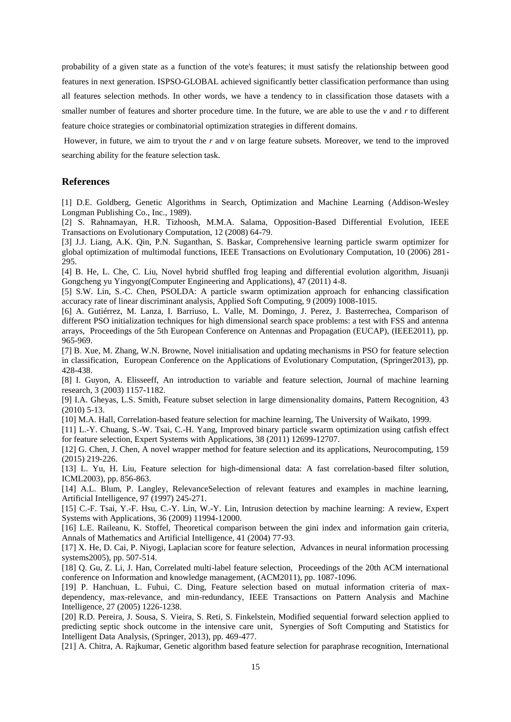probability of a given state as a function of the vote's features; it must satisfy the relationship between good features in next generation. ISPSO-GLOBAL achieved significantly better classification performance than using all features selection methods. In other words, we have a tendency to in classification those datasets with a smaller number of features and shorter procedure time. In the future, we are able to use the *v* and *r* to different feature choice strategies or combinatorial optimization strategies in different domains.

However, in future, we aim to tryout the *r* and *v* on large feature subsets. Moreover, we tend to the improved searching ability for the feature selection task.

### **References**

[1] D.E. Goldberg, Genetic Algorithms in Search, Optimization and Machine Learning (Addison-Wesley Longman Publishing Co., Inc., 1989).

[2] S. Rahnamayan, H.R. Tizhoosh, M.M.A. Salama, Opposition-Based Differential Evolution, IEEE Transactions on Evolutionary Computation, 12 (2008) 64-79.

[3] J.J. Liang, A.K. Qin, P.N. Suganthan, S. Baskar, Comprehensive learning particle swarm optimizer for global optimization of multimodal functions, IEEE Transactions on Evolutionary Computation, 10 (2006) 281- 295.

[4] B. He, L. Che, C. Liu, Novel hybrid shuffled frog leaping and differential evolution algorithm, Jisuanji Gongcheng yu Yingyong(Computer Engineering and Applications), 47 (2011) 4-8.

[5] S.W. Lin, S.-C. Chen, PSOLDA: A particle swarm optimization approach for enhancing classification accuracy rate of linear discriminant analysis, Applied Soft Computing, 9 (2009) 1008-1015.

[6] A. Gutiérrez, M. Lanza, I. Barriuso, L. Valle, M. Domingo, J. Perez, J. Basterrechea, Comparison of different PSO initialization techniques for high dimensional search space problems: a test with FSS and antenna arrays, Proceedings of the 5th European Conference on Antennas and Propagation (EUCAP), (IEEE2011), pp. 965-969.

[7] B. Xue, M. Zhang, W.N. Browne, Novel initialisation and updating mechanisms in PSO for feature selection in classification, European Conference on the Applications of Evolutionary Computation, (Springer2013), pp. 428-438.

[8] I. Guyon, A. Elisseeff, An introduction to variable and feature selection, Journal of machine learning research, 3 (2003) 1157-1182.

[9] I.A. Gheyas, L.S. Smith, Feature subset selection in large dimensionality domains, Pattern Recognition, 43 (2010) 5-13.

[10] M.A. Hall, Correlation-based feature selection for machine learning, The University of Waikato, 1999.

[11] L.-Y. Chuang, S.-W. Tsai, C.-H. Yang, Improved binary particle swarm optimization using catfish effect for feature selection, Expert Systems with Applications, 38 (2011) 12699-12707.

[12] G. Chen, J. Chen, A novel wrapper method for feature selection and its applications, Neurocomputing, 159 (2015) 219-226.

[13] L. Yu, H. Liu, Feature selection for high-dimensional data: A fast correlation-based filter solution, ICML2003), pp. 856-863.

[14] A.L. Blum, P. Langley, RelevanceSelection of relevant features and examples in machine learning, Artificial Intelligence, 97 (1997) 245-271.

[15] C.-F. Tsai, Y.-F. Hsu, C.-Y. Lin, W.-Y. Lin, Intrusion detection by machine learning: A review, Expert Systems with Applications, 36 (2009) 11994-12000.

[16] L.E. Raileanu, K. Stoffel, Theoretical comparison between the gini index and information gain criteria, Annals of Mathematics and Artificial Intelligence, 41 (2004) 77-93.

[17] X. He, D. Cai, P. Niyogi, Laplacian score for feature selection, Advances in neural information processing systems2005), pp. 507-514.

[18] Q. Gu, Z. Li, J. Han, Correlated multi-label feature selection, Proceedings of the 20th ACM international conference on Information and knowledge management, (ACM2011), pp. 1087-1096.

[19] P. Hanchuan, L. Fuhui, C. Ding, Feature selection based on mutual information criteria of maxdependency, max-relevance, and min-redundancy, IEEE Transactions on Pattern Analysis and Machine Intelligence, 27 (2005) 1226-1238.

[20] R.D. Pereira, J. Sousa, S. Vieira, S. Reti, S. Finkelstein, Modified sequential forward selection applied to predicting septic shock outcome in the intensive care unit, Synergies of Soft Computing and Statistics for Intelligent Data Analysis, (Springer, 2013), pp. 469-477.

[21] A. Chitra, A. Rajkumar, Genetic algorithm based feature selection for paraphrase recognition, International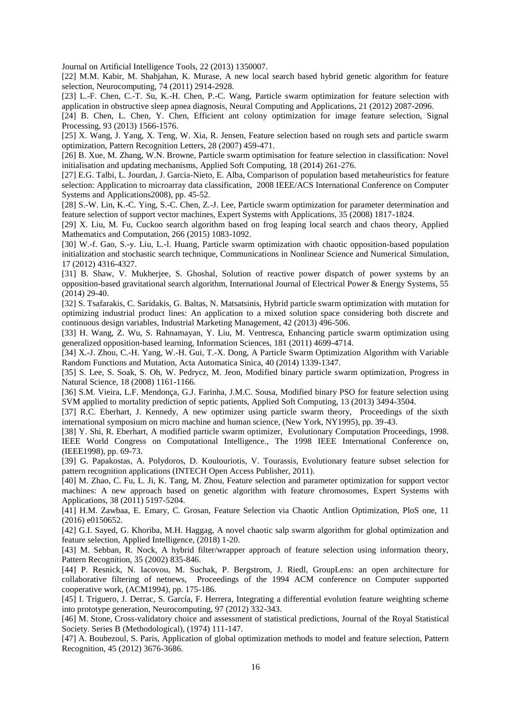Journal on Artificial Intelligence Tools, 22 (2013) 1350007.

[22] M.M. Kabir, M. Shahjahan, K. Murase, A new local search based hybrid genetic algorithm for feature selection, Neurocomputing, 74 (2011) 2914-2928.

[23] L.-F. Chen, C.-T. Su, K.-H. Chen, P.-C. Wang, Particle swarm optimization for feature selection with application in obstructive sleep apnea diagnosis, Neural Computing and Applications, 21 (2012) 2087-2096.

[24] B. Chen, L. Chen, Y. Chen, Efficient ant colony optimization for image feature selection, Signal Processing, 93 (2013) 1566-1576.

[25] X. Wang, J. Yang, X. Teng, W. Xia, R. Jensen, Feature selection based on rough sets and particle swarm optimization, Pattern Recognition Letters, 28 (2007) 459-471.

[26] B. Xue, M. Zhang, W.N. Browne, Particle swarm optimisation for feature selection in classification: Novel initialisation and updating mechanisms, Applied Soft Computing, 18 (2014) 261-276.

[27] E.G. Talbi, L. Jourdan, J. Garcia-Nieto, E. Alba, Comparison of population based metaheuristics for feature selection: Application to microarray data classification, 2008 IEEE/ACS International Conference on Computer Systems and Applications2008), pp. 45-52.

[28] S.-W. Lin, K.-C. Ying, S.-C. Chen, Z.-J. Lee, Particle swarm optimization for parameter determination and feature selection of support vector machines, Expert Systems with Applications, 35 (2008) 1817-1824.

[29] X. Liu, M. Fu, Cuckoo search algorithm based on frog leaping local search and chaos theory, Applied Mathematics and Computation, 266 (2015) 1083-1092.

[30] W.-f. Gao, S.-y. Liu, L.-l. Huang, Particle swarm optimization with chaotic opposition-based population initialization and stochastic search technique, Communications in Nonlinear Science and Numerical Simulation, 17 (2012) 4316-4327.

[31] B. Shaw, V. Mukherjee, S. Ghoshal, Solution of reactive power dispatch of power systems by an opposition-based gravitational search algorithm, International Journal of Electrical Power & Energy Systems, 55 (2014) 29-40.

[32] S. Tsafarakis, C. Saridakis, G. Baltas, N. Matsatsinis, Hybrid particle swarm optimization with mutation for optimizing industrial product lines: An application to a mixed solution space considering both discrete and continuous design variables, Industrial Marketing Management, 42 (2013) 496-506.

[33] H. Wang, Z. Wu, S. Rahnamayan, Y. Liu, M. Ventresca, Enhancing particle swarm optimization using generalized opposition-based learning, Information Sciences, 181 (2011) 4699-4714.

[34] X.-J. Zhou, C.-H. Yang, W.-H. Gui, T.-X. Dong, A Particle Swarm Optimization Algorithm with Variable Random Functions and Mutation, Acta Automatica Sinica, 40 (2014) 1339-1347.

[35] S. Lee, S. Soak, S. Oh, W. Pedrycz, M. Jeon, Modified binary particle swarm optimization, Progress in Natural Science, 18 (2008) 1161-1166.

[36] S.M. Vieira, L.F. Mendonça, G.J. Farinha, J.M.C. Sousa, Modified binary PSO for feature selection using SVM applied to mortality prediction of septic patients, Applied Soft Computing, 13 (2013) 3494-3504.

[37] R.C. Eberhart, J. Kennedy, A new optimizer using particle swarm theory, Proceedings of the sixth international symposium on micro machine and human science, (New York, NY1995), pp. 39-43.

[38] Y. Shi, R. Eberhart, A modified particle swarm optimizer, Evolutionary Computation Proceedings, 1998. IEEE World Congress on Computational Intelligence., The 1998 IEEE International Conference on, (IEEE1998), pp. 69-73.

[39] G. Papakostas, A. Polydoros, D. Koulouriotis, V. Tourassis, Evolutionary feature subset selection for pattern recognition applications (INTECH Open Access Publisher, 2011).

[40] M. Zhao, C. Fu, L. Ji, K. Tang, M. Zhou, Feature selection and parameter optimization for support vector machines: A new approach based on genetic algorithm with feature chromosomes, Expert Systems with Applications, 38 (2011) 5197-5204.

[41] H.M. Zawbaa, E. Emary, C. Grosan, Feature Selection via Chaotic Antlion Optimization, PloS one, 11 (2016) e0150652.

[42] G.I. Sayed, G. Khoriba, M.H. Haggag, A novel chaotic salp swarm algorithm for global optimization and feature selection, Applied Intelligence, (2018) 1-20.

[43] M. Sebban, R. Nock, A hybrid filter/wrapper approach of feature selection using information theory, Pattern Recognition, 35 (2002) 835-846.

[44] P. Resnick, N. Iacovou, M. Suchak, P. Bergstrom, J. Riedl, GroupLens: an open architecture for collaborative filtering of netnews, Proceedings of the 1994 ACM conference on Computer supported cooperative work, (ACM1994), pp. 175-186.

[45] I. Triguero, J. Derrac, S. García, F. Herrera, Integrating a differential evolution feature weighting scheme into prototype generation, Neurocomputing, 97 (2012) 332-343.

[46] M. Stone, Cross-validatory choice and assessment of statistical predictions, Journal of the Royal Statistical Society. Series B (Methodological), (1974) 111-147.

[47] A. Boubezoul, S. Paris, Application of global optimization methods to model and feature selection, Pattern Recognition, 45 (2012) 3676-3686.